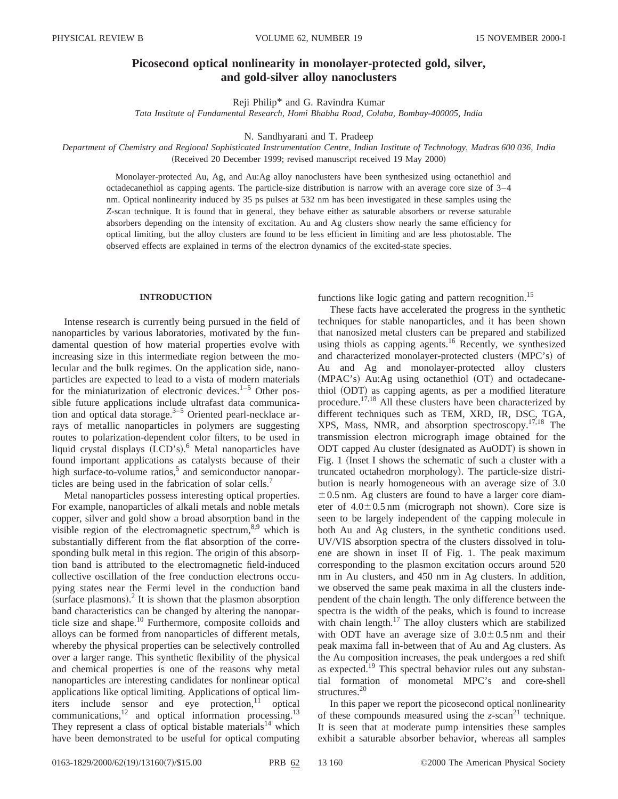# **Picosecond optical nonlinearity in monolayer-protected gold, silver, and gold-silver alloy nanoclusters**

Reji Philip\* and G. Ravindra Kumar

*Tata Institute of Fundamental Research, Homi Bhabha Road, Colaba, Bombay-400005, India*

N. Sandhyarani and T. Pradeep

*Department of Chemistry and Regional Sophisticated Instrumentation Centre, Indian Institute of Technology, Madras 600 036, India* (Received 20 December 1999; revised manuscript received 19 May 2000)

Monolayer-protected Au, Ag, and Au:Ag alloy nanoclusters have been synthesized using octanethiol and octadecanethiol as capping agents. The particle-size distribution is narrow with an average core size of 3–4 nm. Optical nonlinearity induced by 35 ps pulses at 532 nm has been investigated in these samples using the *Z*-scan technique. It is found that in general, they behave either as saturable absorbers or reverse saturable absorbers depending on the intensity of excitation. Au and Ag clusters show nearly the same efficiency for optical limiting, but the alloy clusters are found to be less efficient in limiting and are less photostable. The observed effects are explained in terms of the electron dynamics of the excited-state species.

# **INTRODUCTION**

Intense research is currently being pursued in the field of nanoparticles by various laboratories, motivated by the fundamental question of how material properties evolve with increasing size in this intermediate region between the molecular and the bulk regimes. On the application side, nanoparticles are expected to lead to a vista of modern materials for the miniaturization of electronic devices. $1-5$  Other possible future applications include ultrafast data communication and optical data storage. $3-5$  Oriented pearl-necklace arrays of metallic nanoparticles in polymers are suggesting routes to polarization-dependent color filters, to be used in liquid crystal displays (LCD's).<sup>6</sup> Metal nanoparticles have found important applications as catalysts because of their high surface-to-volume ratios, $5$  and semiconductor nanoparticles are being used in the fabrication of solar cells.<sup>7</sup>

Metal nanoparticles possess interesting optical properties. For example, nanoparticles of alkali metals and noble metals copper, silver and gold show a broad absorption band in the visible region of the electromagnetic spectrum, $8.9$  which is substantially different from the flat absorption of the corresponding bulk metal in this region. The origin of this absorption band is attributed to the electromagnetic field-induced collective oscillation of the free conduction electrons occupying states near the Fermi level in the conduction band (surface plasmons).<sup>2</sup> It is shown that the plasmon absorption band characteristics can be changed by altering the nanoparticle size and shape.10 Furthermore, composite colloids and alloys can be formed from nanoparticles of different metals, whereby the physical properties can be selectively controlled over a larger range. This synthetic flexibility of the physical and chemical properties is one of the reasons why metal nanoparticles are interesting candidates for nonlinear optical applications like optical limiting. Applications of optical limiters include sensor and eye protection, $11$  optical communications, $12$  and optical information processing.<sup>13</sup> They represent a class of optical bistable materials<sup>14</sup> which have been demonstrated to be useful for optical computing

functions like logic gating and pattern recognition.<sup>15</sup>

These facts have accelerated the progress in the synthetic techniques for stable nanoparticles, and it has been shown that nanosized metal clusters can be prepared and stabilized using thiols as capping agents.<sup>16</sup> Recently, we synthesized and characterized monolayer-protected clusters (MPC's) of Au and Ag and monolayer-protected alloy clusters  $(MPAC's)$  Au:Ag using octanethiol  $(OT)$  and octadecanethiol (ODT) as capping agents, as per a modified literature procedure.17,18 All these clusters have been characterized by different techniques such as TEM, XRD, IR, DSC, TGA, XPS, Mass, NMR, and absorption spectroscopy.17,18 The transmission electron micrograph image obtained for the ODT capped Au cluster (designated as AuODT) is shown in Fig. 1 (Inset I shows the schematic of such a cluster with a truncated octahedron morphology). The particle-size distribution is nearly homogeneous with an average size of 3.0  $\pm$  0.5 nm. Ag clusters are found to have a larger core diameter of  $4.0\pm0.5$  nm (micrograph not shown). Core size is seen to be largely independent of the capping molecule in both Au and Ag clusters, in the synthetic conditions used. UV/VIS absorption spectra of the clusters dissolved in toluene are shown in inset II of Fig. 1. The peak maximum corresponding to the plasmon excitation occurs around 520 nm in Au clusters, and 450 nm in Ag clusters. In addition, we observed the same peak maxima in all the clusters independent of the chain length. The only difference between the spectra is the width of the peaks, which is found to increase with chain length. $17$  The alloy clusters which are stabilized with ODT have an average size of  $3.0 \pm 0.5$  nm and their peak maxima fall in-between that of Au and Ag clusters. As the Au composition increases, the peak undergoes a red shift as expected.<sup>19</sup> This spectral behavior rules out any substantial formation of monometal MPC's and core-shell structures.<sup>20</sup>

In this paper we report the picosecond optical nonlinearity of these compounds measured using the  $z$ -scan<sup>21</sup> technique. It is seen that at moderate pump intensities these samples exhibit a saturable absorber behavior, whereas all samples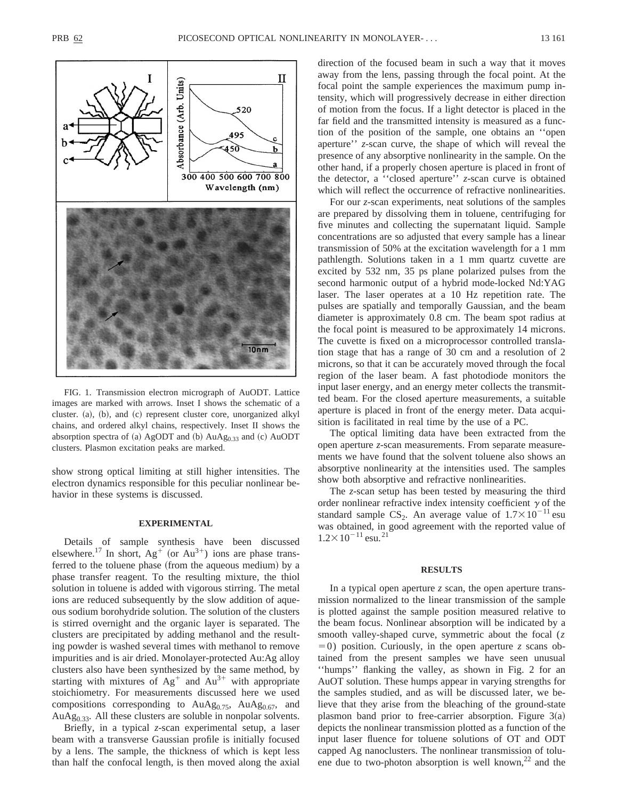

FIG. 1. Transmission electron micrograph of AuODT. Lattice images are marked with arrows. Inset I shows the schematic of a cluster. (a), (b), and (c) represent cluster core, unorganized alkyl chains, and ordered alkyl chains, respectively. Inset II shows the absorption spectra of (a) AgODT and (b)  $AuAg<sub>0.33</sub>$  and (c)  $AuODT$ clusters. Plasmon excitation peaks are marked.

show strong optical limiting at still higher intensities. The electron dynamics responsible for this peculiar nonlinear behavior in these systems is discussed.

# **EXPERIMENTAL**

Details of sample synthesis have been discussed elsewhere.<sup>17</sup> In short,  $Ag^+$  (or  $Au^{3+}$ ) ions are phase transferred to the toluene phase (from the aqueous medium) by a phase transfer reagent. To the resulting mixture, the thiol solution in toluene is added with vigorous stirring. The metal ions are reduced subsequently by the slow addition of aqueous sodium borohydride solution. The solution of the clusters is stirred overnight and the organic layer is separated. The clusters are precipitated by adding methanol and the resulting powder is washed several times with methanol to remove impurities and is air dried. Monolayer-protected Au:Ag alloy clusters also have been synthesized by the same method, by starting with mixtures of  $Ag^+$  and  $Au^{3+}$  with appropriate stoichiometry. For measurements discussed here we used compositions corresponding to  $AuAg<sub>0.75</sub>$ ,  $AuAg<sub>0.67</sub>$ , and Au $Ag<sub>0.33</sub>$ . All these clusters are soluble in nonpolar solvents.

Briefly, in a typical *z*-scan experimental setup, a laser beam with a transverse Gaussian profile is initially focused by a lens. The sample, the thickness of which is kept less than half the confocal length, is then moved along the axial direction of the focused beam in such a way that it moves away from the lens, passing through the focal point. At the focal point the sample experiences the maximum pump intensity, which will progressively decrease in either direction of motion from the focus. If a light detector is placed in the far field and the transmitted intensity is measured as a function of the position of the sample, one obtains an ''open aperture'' *z*-scan curve, the shape of which will reveal the presence of any absorptive nonlinearity in the sample. On the other hand, if a properly chosen aperture is placed in front of the detector, a ''closed aperture'' *z*-scan curve is obtained which will reflect the occurrence of refractive nonlinearities.

For our *z*-scan experiments, neat solutions of the samples are prepared by dissolving them in toluene, centrifuging for five minutes and collecting the supernatant liquid. Sample concentrations are so adjusted that every sample has a linear transmission of 50% at the excitation wavelength for a 1 mm pathlength. Solutions taken in a 1 mm quartz cuvette are excited by 532 nm, 35 ps plane polarized pulses from the second harmonic output of a hybrid mode-locked Nd:YAG laser. The laser operates at a 10 Hz repetition rate. The pulses are spatially and temporally Gaussian, and the beam diameter is approximately 0.8 cm. The beam spot radius at the focal point is measured to be approximately 14 microns. The cuvette is fixed on a microprocessor controlled translation stage that has a range of 30 cm and a resolution of 2 microns, so that it can be accurately moved through the focal region of the laser beam. A fast photodiode monitors the input laser energy, and an energy meter collects the transmitted beam. For the closed aperture measurements, a suitable aperture is placed in front of the energy meter. Data acquisition is facilitated in real time by the use of a PC.

The optical limiting data have been extracted from the open aperture *z*-scan measurements. From separate measurements we have found that the solvent toluene also shows an absorptive nonlinearity at the intensities used. The samples show both absorptive and refractive nonlinearities.

The *z*-scan setup has been tested by measuring the third order nonlinear refractive index intensity coefficient  $\gamma$  of the standard sample CS<sub>2</sub>. An average value of  $1.7 \times 10^{-11}$  esu was obtained, in good agreement with the reported value of  $1.2\times10^{-11}$  esu.<sup>21</sup>

## **RESULTS**

In a typical open aperture *z* scan, the open aperture transmission normalized to the linear transmission of the sample is plotted against the sample position measured relative to the beam focus. Nonlinear absorption will be indicated by a smooth valley-shaped curve, symmetric about the focal (*z*  $(50)$  position. Curiously, in the open aperture *z* scans obtained from the present samples we have seen unusual ''humps'' flanking the valley, as shown in Fig. 2 for an AuOT solution. These humps appear in varying strengths for the samples studied, and as will be discussed later, we believe that they arise from the bleaching of the ground-state plasmon band prior to free-carrier absorption. Figure  $3(a)$ depicts the nonlinear transmission plotted as a function of the input laser fluence for toluene solutions of OT and ODT capped Ag nanoclusters. The nonlinear transmission of toluene due to two-photon absorption is well known,  $2^2$  and the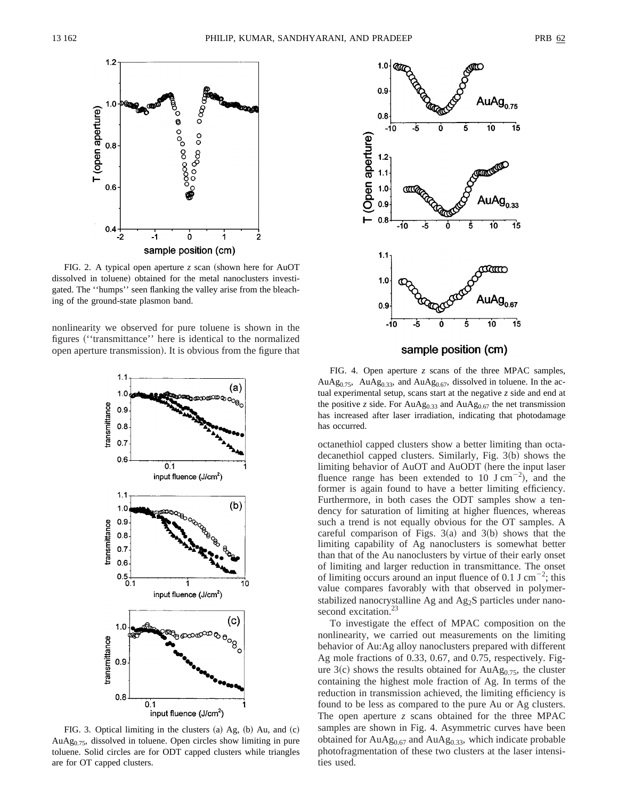

FIG. 2. A typical open aperture  $z$  scan (shown here for AuOT dissolved in toluene) obtained for the metal nanoclusters investigated. The ''humps'' seen flanking the valley arise from the bleaching of the ground-state plasmon band.

nonlinearity we observed for pure toluene is shown in the figures ("transmittance" here is identical to the normalized open aperture transmission). It is obvious from the figure that



FIG. 3. Optical limiting in the clusters  $(a)$  Ag,  $(b)$  Au, and  $(c)$ Au $Ag<sub>0.75</sub>$ , dissolved in toluene. Open circles show limiting in pure toluene. Solid circles are for ODT capped clusters while triangles are for OT capped clusters.



FIG. 4. Open aperture *z* scans of the three MPAC samples, AuAg<sub>0.75</sub>, AuAg<sub>0.33</sub>, and AuAg<sub>0.67</sub>, dissolved in toluene. In the actual experimental setup, scans start at the negative *z* side and end at the positive *z* side. For  $AuAg<sub>0.33</sub>$  and  $AuAg<sub>0.67</sub>$  the net transmission has increased after laser irradiation, indicating that photodamage has occurred.

octanethiol capped clusters show a better limiting than octadecanethiol capped clusters. Similarly, Fig.  $3(b)$  shows the limiting behavior of AuOT and AuODT (here the input laser fluence range has been extended to 10  $J \text{ cm}^{-2}$ ), and the former is again found to have a better limiting efficiency. Furthermore, in both cases the ODT samples show a tendency for saturation of limiting at higher fluences, whereas such a trend is not equally obvious for the OT samples. A careful comparison of Figs.  $3(a)$  and  $3(b)$  shows that the limiting capability of Ag nanoclusters is somewhat better than that of the Au nanoclusters by virtue of their early onset of limiting and larger reduction in transmittance. The onset of limiting occurs around an input fluence of 0.1 J cm<sup>-2</sup>; this value compares favorably with that observed in polymerstabilized nanocrystalline Ag and  $Ag<sub>2</sub>S$  particles under nanosecond excitation.<sup>23</sup>

To investigate the effect of MPAC composition on the nonlinearity, we carried out measurements on the limiting behavior of Au:Ag alloy nanoclusters prepared with different Ag mole fractions of 0.33, 0.67, and 0.75, respectively. Figure 3(c) shows the results obtained for  $AuAg<sub>0.75</sub>$ , the cluster containing the highest mole fraction of Ag. In terms of the reduction in transmission achieved, the limiting efficiency is found to be less as compared to the pure Au or Ag clusters. The open aperture *z* scans obtained for the three MPAC samples are shown in Fig. 4. Asymmetric curves have been obtained for  $AuAg<sub>0.67</sub>$  and  $AuAg<sub>0.33</sub>$ , which indicate probable photofragmentation of these two clusters at the laser intensities used.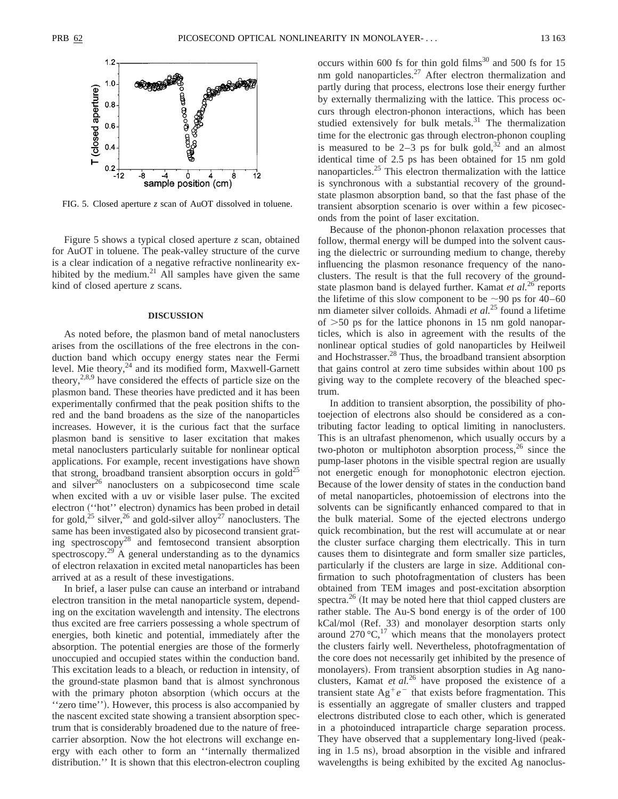

FIG. 5. Closed aperture *z* scan of AuOT dissolved in toluene.

Figure 5 shows a typical closed aperture *z* scan, obtained for AuOT in toluene. The peak-valley structure of the curve is a clear indication of a negative refractive nonlinearity exhibited by the medium.<sup>21</sup> All samples have given the same kind of closed aperture *z* scans.

#### **DISCUSSION**

As noted before, the plasmon band of metal nanoclusters arises from the oscillations of the free electrons in the conduction band which occupy energy states near the Fermi level. Mie theory, $^{24}$  and its modified form, Maxwell-Garnett theory,  $2,8,9$  have considered the effects of particle size on the plasmon band. These theories have predicted and it has been experimentally confirmed that the peak position shifts to the red and the band broadens as the size of the nanoparticles increases. However, it is the curious fact that the surface plasmon band is sensitive to laser excitation that makes metal nanoclusters particularly suitable for nonlinear optical applications. For example, recent investigations have shown that strong, broadband transient absorption occurs in  $\text{gold}^{25}$ and silver $^{26}$  nanoclusters on a subpicosecond time scale when excited with a uv or visible laser pulse. The excited electron ("hot" electron) dynamics has been probed in detail for gold,<sup>25</sup> silver,<sup>26</sup> and gold-silver alloy<sup>27</sup> nanoclusters. The same has been investigated also by picosecond transient grating spectroscopy28 and femtosecond transient absorption spectroscopy.<sup>29</sup> A general understanding as to the dynamics of electron relaxation in excited metal nanoparticles has been arrived at as a result of these investigations.

In brief, a laser pulse can cause an interband or intraband electron transition in the metal nanoparticle system, depending on the excitation wavelength and intensity. The electrons thus excited are free carriers possessing a whole spectrum of energies, both kinetic and potential, immediately after the absorption. The potential energies are those of the formerly unoccupied and occupied states within the conduction band. This excitation leads to a bleach, or reduction in intensity, of the ground-state plasmon band that is almost synchronous with the primary photon absorption (which occurs at the "zero time"). However, this process is also accompanied by the nascent excited state showing a transient absorption spectrum that is considerably broadened due to the nature of freecarrier absorption. Now the hot electrons will exchange energy with each other to form an ''internally thermalized distribution.'' It is shown that this electron-electron coupling

occurs within 600 fs for thin gold films<sup>30</sup> and 500 fs for 15 nm gold nanoparticles.<sup>27</sup> After electron thermalization and partly during that process, electrons lose their energy further by externally thermalizing with the lattice. This process occurs through electron-phonon interactions, which has been studied extensively for bulk metals. $31$  The thermalization time for the electronic gas through electron-phonon coupling is measured to be 2–3 ps for bulk gold, $32$  and an almost identical time of 2.5 ps has been obtained for 15 nm gold nanoparticles. $25$  This electron thermalization with the lattice is synchronous with a substantial recovery of the groundstate plasmon absorption band, so that the fast phase of the transient absorption scenario is over within a few picoseconds from the point of laser excitation.

Because of the phonon-phonon relaxation processes that follow, thermal energy will be dumped into the solvent causing the dielectric or surrounding medium to change, thereby influencing the plasmon resonance frequency of the nanoclusters. The result is that the full recovery of the groundstate plasmon band is delayed further. Kamat *et al.*<sup>26</sup> reports the lifetime of this slow component to be  $\sim$ 90 ps for 40–60 nm diameter silver colloids. Ahmadi *et al.*<sup>25</sup> found a lifetime of  $>50$  ps for the lattice phonons in 15 nm gold nanoparticles, which is also in agreement with the results of the nonlinear optical studies of gold nanoparticles by Heilweil and Hochstrasser.<sup>28</sup> Thus, the broadband transient absorption that gains control at zero time subsides within about 100 ps giving way to the complete recovery of the bleached spectrum.

In addition to transient absorption, the possibility of photoejection of electrons also should be considered as a contributing factor leading to optical limiting in nanoclusters. This is an ultrafast phenomenon, which usually occurs by a two-photon or multiphoton absorption process,  $26$  since the pump-laser photons in the visible spectral region are usually not energetic enough for monophotonic electron ejection. Because of the lower density of states in the conduction band of metal nanoparticles, photoemission of electrons into the solvents can be significantly enhanced compared to that in the bulk material. Some of the ejected electrons undergo quick recombination, but the rest will accumulate at or near the cluster surface charging them electrically. This in turn causes them to disintegrate and form smaller size particles, particularly if the clusters are large in size. Additional confirmation to such photofragmentation of clusters has been obtained from TEM images and post-excitation absorption spectra. $26$  (It may be noted here that thiol capped clusters are rather stable. The Au-S bond energy is of the order of 100 kCal/mol (Ref. 33) and monolayer desorption starts only around  $270^{\circ}$ C,<sup>17</sup> which means that the monolayers protect the clusters fairly well. Nevertheless, photofragmentation of the core does not necessarily get inhibited by the presence of monolayers). From transient absorption studies in Ag nanoclusters, Kamat *et al.*<sup>26</sup> have proposed the existence of a transient state  $Ag^+e^-$  that exists before fragmentation. This is essentially an aggregate of smaller clusters and trapped electrons distributed close to each other, which is generated in a photoinduced intraparticle charge separation process. They have observed that a supplementary long-lived (peaking in 1.5 ns), broad absorption in the visible and infrared wavelengths is being exhibited by the excited Ag nanoclus-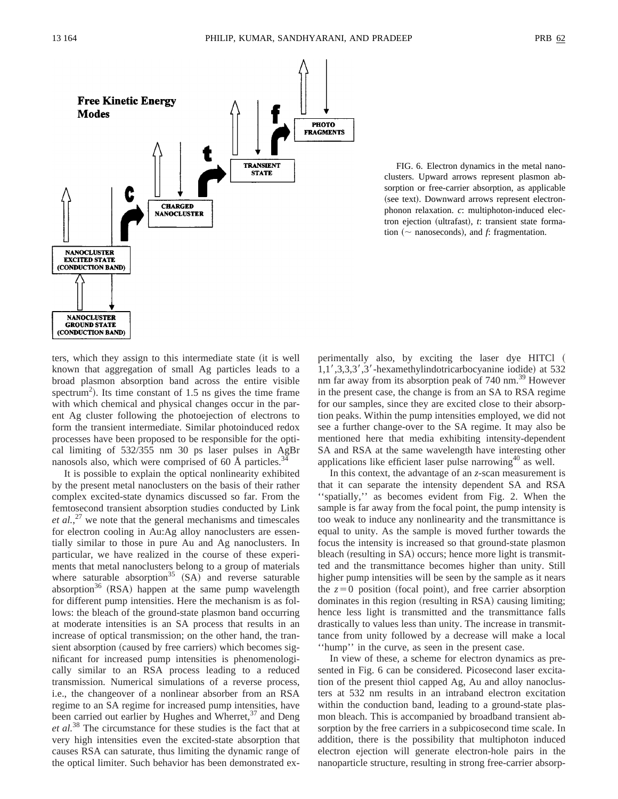

FIG. 6. Electron dynamics in the metal nanoclusters. Upward arrows represent plasmon absorption or free-carrier absorption, as applicable (see text). Downward arrows represent electronphonon relaxation. *c*: multiphoton-induced electron ejection (ultrafast), *t*: transient state formation ( $\sim$  nanoseconds), and *f*: fragmentation.

ters, which they assign to this intermediate state (it is well known that aggregation of small Ag particles leads to a broad plasmon absorption band across the entire visible spectrum<sup>2</sup>). Its time constant of 1.5 ns gives the time frame with which chemical and physical changes occur in the parent Ag cluster following the photoejection of electrons to form the transient intermediate. Similar photoinduced redox processes have been proposed to be responsible for the optical limiting of 532/355 nm 30 ps laser pulses in AgBr nanosols also, which were comprised of 60 Å particles.

It is possible to explain the optical nonlinearity exhibited by the present metal nanoclusters on the basis of their rather complex excited-state dynamics discussed so far. From the femtosecond transient absorption studies conducted by Link *et al.*, <sup>27</sup> we note that the general mechanisms and timescales for electron cooling in Au:Ag alloy nanoclusters are essentially similar to those in pure Au and Ag nanoclusters. In particular, we have realized in the course of these experiments that metal nanoclusters belong to a group of materials where saturable absorption<sup>35</sup>  $(SA)$  and reverse saturable absorption<sup>36</sup>  $(RSA)$  happen at the same pump wavelength for different pump intensities. Here the mechanism is as follows: the bleach of the ground-state plasmon band occurring at moderate intensities is an SA process that results in an increase of optical transmission; on the other hand, the transient absorption (caused by free carriers) which becomes significant for increased pump intensities is phenomenologically similar to an RSA process leading to a reduced transmission. Numerical simulations of a reverse process, i.e., the changeover of a nonlinear absorber from an RSA regime to an SA regime for increased pump intensities, have been carried out earlier by Hughes and Wherret,  $37$  and Deng *et al.*<sup>38</sup> The circumstance for these studies is the fact that at very high intensities even the excited-state absorption that causes RSA can saturate, thus limiting the dynamic range of the optical limiter. Such behavior has been demonstrated experimentally also, by exciting the laser dye HITCl (  $1,1',3,3,3',3'$ -hexamethylindotricarbocyanine iodide) at 532 nm far away from its absorption peak of 740 nm.<sup>39</sup> However in the present case, the change is from an SA to RSA regime for our samples, since they are excited close to their absorption peaks. Within the pump intensities employed, we did not see a further change-over to the SA regime. It may also be mentioned here that media exhibiting intensity-dependent SA and RSA at the same wavelength have interesting other applications like efficient laser pulse narrowing<sup>40</sup> as well.

In this context, the advantage of an *z*-scan measurement is that it can separate the intensity dependent SA and RSA ''spatially,'' as becomes evident from Fig. 2. When the sample is far away from the focal point, the pump intensity is too weak to induce any nonlinearity and the transmittance is equal to unity. As the sample is moved further towards the focus the intensity is increased so that ground-state plasmon bleach (resulting in SA) occurs; hence more light is transmitted and the transmittance becomes higher than unity. Still higher pump intensities will be seen by the sample as it nears the  $z=0$  position (focal point), and free carrier absorption dominates in this region (resulting in RSA) causing limiting; hence less light is transmitted and the transmittance falls drastically to values less than unity. The increase in transmittance from unity followed by a decrease will make a local ''hump'' in the curve, as seen in the present case.

In view of these, a scheme for electron dynamics as presented in Fig. 6 can be considered. Picosecond laser excitation of the present thiol capped Ag, Au and alloy nanoclusters at 532 nm results in an intraband electron excitation within the conduction band, leading to a ground-state plasmon bleach. This is accompanied by broadband transient absorption by the free carriers in a subpicosecond time scale. In addition, there is the possibility that multiphoton induced electron ejection will generate electron-hole pairs in the nanoparticle structure, resulting in strong free-carrier absorp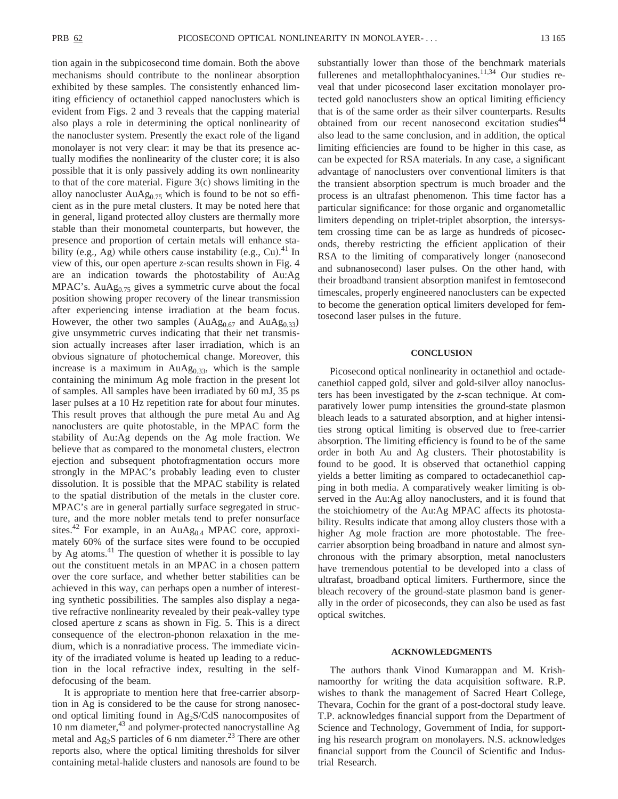tion again in the subpicosecond time domain. Both the above mechanisms should contribute to the nonlinear absorption exhibited by these samples. The consistently enhanced limiting efficiency of octanethiol capped nanoclusters which is evident from Figs. 2 and 3 reveals that the capping material also plays a role in determining the optical nonlinearity of the nanocluster system. Presently the exact role of the ligand monolayer is not very clear: it may be that its presence actually modifies the nonlinearity of the cluster core; it is also possible that it is only passively adding its own nonlinearity to that of the core material. Figure  $3(c)$  shows limiting in the alloy nanocluster  $AuAg<sub>0.75</sub>$  which is found to be not so efficient as in the pure metal clusters. It may be noted here that in general, ligand protected alloy clusters are thermally more stable than their monometal counterparts, but however, the presence and proportion of certain metals will enhance stability (e.g.,  $\overrightarrow{Ag}$ ) while others cause instability (e.g., Cu).<sup>41</sup> In view of this, our open aperture *z*-scan results shown in Fig. 4 are an indication towards the photostability of Au:Ag MPAC's. Au $\text{Ag}_{0.75}$  gives a symmetric curve about the focal position showing proper recovery of the linear transmission after experiencing intense irradiation at the beam focus. However, the other two samples  $(AuAg<sub>0.67</sub>$  and  $AuAg<sub>0.33</sub>)$ give unsymmetric curves indicating that their net transmission actually increases after laser irradiation, which is an obvious signature of photochemical change. Moreover, this increase is a maximum in  $AuAg<sub>0.33</sub>$ , which is the sample containing the minimum Ag mole fraction in the present lot of samples. All samples have been irradiated by 60 mJ, 35 ps laser pulses at a 10 Hz repetition rate for about four minutes. This result proves that although the pure metal Au and Ag nanoclusters are quite photostable, in the MPAC form the stability of Au:Ag depends on the Ag mole fraction. We believe that as compared to the monometal clusters, electron ejection and subsequent photofragmentation occurs more strongly in the MPAC's probably leading even to cluster dissolution. It is possible that the MPAC stability is related to the spatial distribution of the metals in the cluster core. MPAC's are in general partially surface segregated in structure, and the more nobler metals tend to prefer nonsurface sites.<sup>42</sup> For example, in an AuAg<sub>0.4</sub> MPAC core, approximately 60% of the surface sites were found to be occupied by Ag atoms.<sup>41</sup> The question of whether it is possible to lay out the constituent metals in an MPAC in a chosen pattern over the core surface, and whether better stabilities can be achieved in this way, can perhaps open a number of interesting synthetic possibilities. The samples also display a negative refractive nonlinearity revealed by their peak-valley type closed aperture *z* scans as shown in Fig. 5. This is a direct consequence of the electron-phonon relaxation in the medium, which is a nonradiative process. The immediate vicinity of the irradiated volume is heated up leading to a reduction in the local refractive index, resulting in the selfdefocusing of the beam.

It is appropriate to mention here that free-carrier absorption in Ag is considered to be the cause for strong nanosecond optical limiting found in  $Ag<sub>2</sub>S/CdS$  nanocomposites of 10 nm diameter, $43$  and polymer-protected nanocrystalline Ag metal and  $Ag_2S$  particles of 6 nm diameter.<sup>23</sup> There are other reports also, where the optical limiting thresholds for silver containing metal-halide clusters and nanosols are found to be substantially lower than those of the benchmark materials fullerenes and metallophthalocyanines.<sup>11,34</sup> Our studies reveal that under picosecond laser excitation monolayer protected gold nanoclusters show an optical limiting efficiency that is of the same order as their silver counterparts. Results obtained from our recent nanosecond excitation studies<sup>44</sup> also lead to the same conclusion, and in addition, the optical limiting efficiencies are found to be higher in this case, as can be expected for RSA materials. In any case, a significant advantage of nanoclusters over conventional limiters is that the transient absorption spectrum is much broader and the process is an ultrafast phenomenon. This time factor has a particular significance: for those organic and organometallic limiters depending on triplet-triplet absorption, the intersystem crossing time can be as large as hundreds of picoseconds, thereby restricting the efficient application of their RSA to the limiting of comparatively longer (nanosecond and subnanosecond) laser pulses. On the other hand, with their broadband transient absorption manifest in femtosecond timescales, properly engineered nanoclusters can be expected to become the generation optical limiters developed for femtosecond laser pulses in the future.

#### **CONCLUSION**

Picosecond optical nonlinearity in octanethiol and octadecanethiol capped gold, silver and gold-silver alloy nanoclusters has been investigated by the *z*-scan technique. At comparatively lower pump intensities the ground-state plasmon bleach leads to a saturated absorption, and at higher intensities strong optical limiting is observed due to free-carrier absorption. The limiting efficiency is found to be of the same order in both Au and Ag clusters. Their photostability is found to be good. It is observed that octanethiol capping yields a better limiting as compared to octadecanethiol capping in both media. A comparatively weaker limiting is observed in the Au:Ag alloy nanoclusters, and it is found that the stoichiometry of the Au:Ag MPAC affects its photostability. Results indicate that among alloy clusters those with a higher Ag mole fraction are more photostable. The freecarrier absorption being broadband in nature and almost synchronous with the primary absorption, metal nanoclusters have tremendous potential to be developed into a class of ultrafast, broadband optical limiters. Furthermore, since the bleach recovery of the ground-state plasmon band is generally in the order of picoseconds, they can also be used as fast optical switches.

### **ACKNOWLEDGMENTS**

The authors thank Vinod Kumarappan and M. Krishnamoorthy for writing the data acquisition software. R.P. wishes to thank the management of Sacred Heart College, Thevara, Cochin for the grant of a post-doctoral study leave. T.P. acknowledges financial support from the Department of Science and Technology, Government of India, for supporting his research program on monolayers. N.S. acknowledges financial support from the Council of Scientific and Industrial Research.